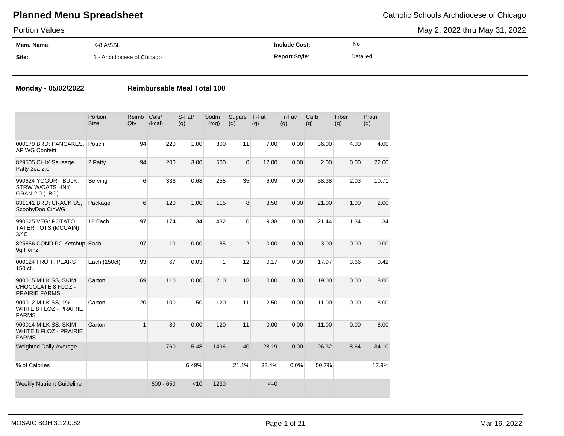| <b>Portion Values</b> |                            |                      |          | May 2, 2022 thru May 31, 2022 |
|-----------------------|----------------------------|----------------------|----------|-------------------------------|
| Menu Name:            | K-8 A/SSL                  | <b>Include Cost:</b> | No       |                               |
| Site:                 | 1 - Archdiocese of Chicago | <b>Report Style:</b> | Detailed |                               |

### **Monday - 05/02/2022 Reimbursable Meal Total 100**

|                                                                           | Portion<br><b>Size</b> | Reimb<br>Qty | Cals <sup>1</sup><br>(kcal) | $S$ -Fat <sup>1</sup><br>(g) | Sodm <sup>1</sup><br>(mg) | Sugars<br>(g)  | T-Fat<br>(g) | Tr-Fat <sup>2</sup><br>(g) | Carb<br>(g) | Fiber<br>(g) | Protn<br>(g) |
|---------------------------------------------------------------------------|------------------------|--------------|-----------------------------|------------------------------|---------------------------|----------------|--------------|----------------------------|-------------|--------------|--------------|
| 000179 BRD: PANCAKES.<br><b>AP WG Confetti</b>                            | Pouch                  | 94           | 220                         | 1.00                         | 300                       | 11             | 7.00         | 0.00                       | 36.00       | 4.00         | 4.00         |
| 829505 CHIX Sausage<br>Patty 2ea 2.0                                      | 2 Patty                | 94           | 200                         | 3.00                         | 500                       | $\mathbf{0}$   | 12.00        | 0.00                       | 2.00        | 0.00         | 22.00        |
| 990624 YOGURT BULK,<br><b>STRW W/OATS HNY</b><br>GRAN 2.0 (1BG)           | Serving                | 6            | 336                         | 0.68                         | 255                       | 35             | 6.09         | 0.00                       | 58.38       | 2.03         | 10.71        |
| 831141 BRD: CRACK SS,<br>ScoobyDoo CinWG                                  | Package                | 6            | 120                         | 1.00                         | 115                       | 8              | 3.50         | 0.00                       | 21.00       | 1.00         | 2.00         |
| 990625 VEG: POTATO,<br>TATER TOTS (MCCAIN)<br>3/4C                        | 12 Each                | 97           | 174                         | 1.34                         | 482                       | $\overline{0}$ | 9.38         | 0.00                       | 21.44       | 1.34         | 1.34         |
| 825856 COND PC Ketchup Each<br>9g Heinz                                   |                        | 97           | 10                          | 0.00                         | 85                        | $\overline{2}$ | 0.00         | 0.00                       | 3.00        | 0.00         | 0.00         |
| 000124 FRUIT: PEARS<br>150 ct.                                            | Each (150ct)           | 93           | 67                          | 0.03                         | 1                         | 12             | 0.17         | 0.00                       | 17.97       | 3.66         | 0.42         |
| 900015 MILK SS, SKIM<br><b>CHOCOLATE 8 FLOZ -</b><br><b>PRAIRIE FARMS</b> | Carton                 | 69           | 110                         | 0.00                         | 210                       | 18             | 0.00         | 0.00                       | 19.00       | 0.00         | 8.00         |
| 900012 MILK SS, 1%<br><b>WHITE 8 FLOZ - PRAIRIE</b><br><b>FARMS</b>       | Carton                 | 20           | 100                         | 1.50                         | 120                       | 11             | 2.50         | 0.00                       | 11.00       | 0.00         | 8.00         |
| 900014 MILK SS, SKIM<br><b>WHITE 8 FLOZ - PRAIRIE</b><br><b>FARMS</b>     | Carton                 | $\mathbf{1}$ | 80                          | 0.00                         | 120                       | 11             | 0.00         | 0.00                       | 11.00       | 0.00         | 8.00         |
| <b>Weighted Daily Average</b>                                             |                        |              | 760                         | 5.48                         | 1496                      | 40             | 28.19        | 0.00                       | 96.32       | 8.64         | 34.10        |
| % of Calories                                                             |                        |              |                             | 6.49%                        |                           | 21.1%          | 33.4%        | 0.0%                       | 50.7%       |              | 17.9%        |
| <b>Weekly Nutrient Guideline</b>                                          |                        |              | $600 - 650$                 | < 10                         | 1230                      |                | $\leq=0$     |                            |             |              |              |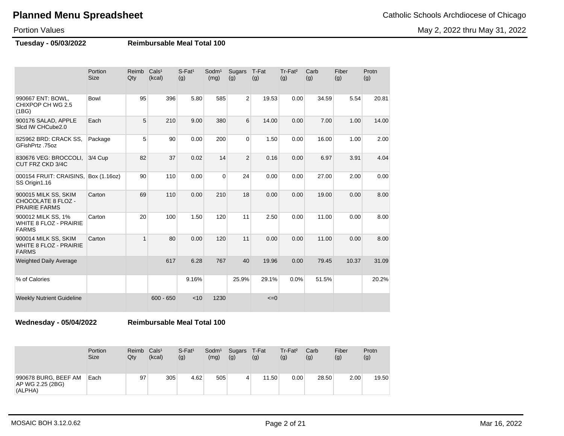May 2, 2022 thru May 31, 2022

Portion Values

**Tuesday - 05/03/2022 Reimbursable Meal Total 100**

|                                                                           | Portion<br><b>Size</b> | Reimb<br>Qty | Cals <sup>1</sup><br>(kcal) | $S$ -Fat <sup>1</sup><br>(g) | Sodm <sup>1</sup><br>(mg) | Sugars<br>(g)  | T-Fat<br>(g) | Tr-Fat <sup>2</sup><br>(g) | Carb<br>(g) | Fiber<br>(g) | Protn<br>(g) |
|---------------------------------------------------------------------------|------------------------|--------------|-----------------------------|------------------------------|---------------------------|----------------|--------------|----------------------------|-------------|--------------|--------------|
| 990667 ENT: BOWL,<br>CHIXPOP CH WG 2.5<br>(1BG)                           | <b>Bowl</b>            | 95           | 396                         | 5.80                         | 585                       | $\overline{2}$ | 19.53        | 0.00                       | 34.59       | 5.54         | 20.81        |
| 900176 SALAD, APPLE<br>Sicd IW CHCube2.0                                  | Each                   | 5            | 210                         | 9.00                         | 380                       | 6              | 14.00        | 0.00                       | 7.00        | 1.00         | 14.00        |
| 825962 BRD: CRACK SS,<br>GFishPrtz .75oz                                  | Package                | 5            | 90                          | 0.00                         | 200                       | $\overline{0}$ | 1.50         | 0.00                       | 16.00       | 1.00         | 2.00         |
| 830676 VEG: BROCCOLI,<br>CUT FRZ CKD 3/4C                                 | 3/4 Cup                | 82           | 37                          | 0.02                         | 14                        | 2              | 0.16         | 0.00                       | 6.97        | 3.91         | 4.04         |
| 000154 FRUIT: CRAISINS,<br>SS Origin1.16                                  | Box (1.16oz)           | 90           | 110                         | 0.00                         | $\Omega$                  | 24             | 0.00         | 0.00                       | 27.00       | 2.00         | 0.00         |
| 900015 MILK SS, SKIM<br><b>CHOCOLATE 8 FLOZ -</b><br><b>PRAIRIE FARMS</b> | Carton                 | 69           | 110                         | 0.00                         | 210                       | 18             | 0.00         | 0.00                       | 19.00       | 0.00         | 8.00         |
| 900012 MILK SS, 1%<br><b>WHITE 8 FLOZ - PRAIRIE</b><br><b>FARMS</b>       | Carton                 | 20           | 100                         | 1.50                         | 120                       | 11             | 2.50         | 0.00                       | 11.00       | 0.00         | 8.00         |
| 900014 MILK SS, SKIM<br><b>WHITE 8 FLOZ - PRAIRIE</b><br><b>FARMS</b>     | Carton                 | $\mathbf{1}$ | 80                          | 0.00                         | 120                       | 11             | 0.00         | 0.00                       | 11.00       | 0.00         | 8.00         |
| <b>Weighted Daily Average</b>                                             |                        |              | 617                         | 6.28                         | 767                       | 40             | 19.96        | 0.00                       | 79.45       | 10.37        | 31.09        |
| % of Calories                                                             |                        |              |                             | 9.16%                        |                           | 25.9%          | 29.1%        | 0.0%                       | 51.5%       |              | 20.2%        |
| <b>Weekly Nutrient Guideline</b>                                          |                        |              | $600 - 650$                 | < 10                         | 1230                      |                | $\leq=0$     |                            |             |              |              |

**Wednesday - 05/04/2022 Reimbursable Meal Total 100**

|                                                     | Portion<br><b>Size</b> | Reimb<br>Qty | Cals <sup>1</sup><br>(kcal) | $S$ -Fat <sup>1</sup><br>(g) | Sodm <sup>1</sup><br>(mg) | Sugars T-Fat<br>(g) | (g)   | $Tr-Fat2$<br>(g) | Carb<br>(g) | Fiber<br>(g) | Protn<br>(g) |
|-----------------------------------------------------|------------------------|--------------|-----------------------------|------------------------------|---------------------------|---------------------|-------|------------------|-------------|--------------|--------------|
| 990678 BURG, BEEF AM<br>AP WG 2.25 (2BG)<br>(ALPHA) | Each                   | 97           | 305                         | 4.62                         | 505                       | 4                   | 11.50 | 0.00             | 28.50       | 2.00         | 19.50        |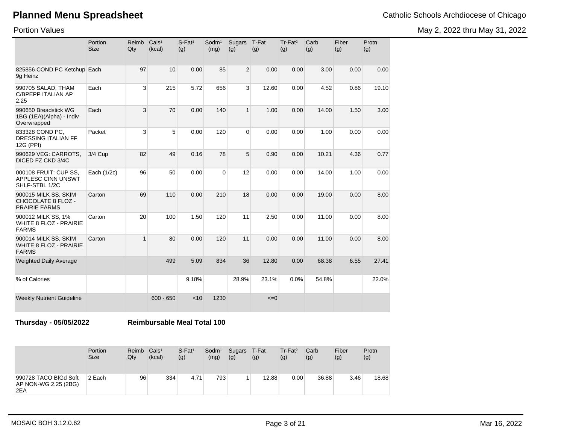May 2, 2022 thru May 31, 2022

Portion Values

|                                                                       | Portion<br><b>Size</b> | Reimb<br>Qty | Cals <sup>1</sup><br>(kcal) | S-Fat <sup>1</sup><br>(g) | Sodm <sup>1</sup><br>(mg) | <b>Sugars</b><br>(g) | T-Fat<br>(g) | Tr-Fat <sup>2</sup><br>(g) | Carb<br>(g) | Fiber<br>(g) | Protn<br>(g) |
|-----------------------------------------------------------------------|------------------------|--------------|-----------------------------|---------------------------|---------------------------|----------------------|--------------|----------------------------|-------------|--------------|--------------|
| 825856 COND PC Ketchup Each<br>9g Heinz                               |                        | 97           | 10                          | 0.00                      | 85                        | $\overline{2}$       | 0.00         | 0.00                       | 3.00        | 0.00         | 0.00         |
| 990705 SALAD, THAM<br><b>C/BPEPP ITALIAN AP</b><br>2.25               | Each                   | 3            | 215                         | 5.72                      | 656                       | 3                    | 12.60        | 0.00                       | 4.52        | 0.86         | 19.10        |
| 990650 Breadstick WG<br>1BG (1EA)(Alpha) - Indiv<br>Overwrapped       | Each                   | 3            | 70                          | 0.00                      | 140                       | $\mathbf{1}$         | 1.00         | 0.00                       | 14.00       | 1.50         | 3.00         |
| 833328 COND PC,<br><b>DRESSING ITALIAN FF</b><br>12G (PPI)            | Packet                 | 3            | 5                           | 0.00                      | 120                       | $\Omega$             | 0.00         | 0.00                       | 1.00        | 0.00         | 0.00         |
| 990629 VEG: CARROTS,<br>DICED FZ CKD 3/4C                             | 3/4 Cup                | 82           | 49                          | 0.16                      | 78                        | 5                    | 0.90         | 0.00                       | 10.21       | 4.36         | 0.77         |
| 000108 FRUIT: CUP SS,<br>APPLESC CINN UNSWT<br>SHLF-STBL 1/2C         | Each (1/2c)            | 96           | 50                          | 0.00                      | $\mathbf 0$               | 12                   | 0.00         | 0.00                       | 14.00       | 1.00         | 0.00         |
| 900015 MILK SS, SKIM<br>CHOCOLATE 8 FLOZ -<br><b>PRAIRIE FARMS</b>    | Carton                 | 69           | 110                         | 0.00                      | 210                       | 18                   | 0.00         | 0.00                       | 19.00       | 0.00         | 8.00         |
| 900012 MILK SS, 1%<br><b>WHITE 8 FLOZ - PRAIRIE</b><br><b>FARMS</b>   | Carton                 | 20           | 100                         | 1.50                      | 120                       | 11                   | 2.50         | 0.00                       | 11.00       | 0.00         | 8.00         |
| 900014 MILK SS, SKIM<br><b>WHITE 8 FLOZ - PRAIRIE</b><br><b>FARMS</b> | Carton                 | $\mathbf{1}$ | 80                          | 0.00                      | 120                       | 11                   | 0.00         | 0.00                       | 11.00       | 0.00         | 8.00         |
| <b>Weighted Daily Average</b>                                         |                        |              | 499                         | 5.09                      | 834                       | 36                   | 12.80        | 0.00                       | 68.38       | 6.55         | 27.41        |
| % of Calories                                                         |                        |              |                             | 9.18%                     |                           | 28.9%                | 23.1%        | 0.0%                       | 54.8%       |              | 22.0%        |
| <b>Weekly Nutrient Guideline</b>                                      |                        |              | $600 - 650$                 | < 10                      | 1230                      |                      | $\leq=0$     |                            |             |              |              |

**Thursday - 05/05/2022 Reimbursable Meal Total 100**

|                                                      | Portion<br><b>Size</b> | Reimb<br>Qty | Cals <sup>1</sup><br>(kcal) | $S$ -Fat <sup>1</sup><br>(g) | Sodm <sup>1</sup><br>(mg) | Sugars T-Fat<br>(g) | (g)   | $Tr-Fat2$<br>(g) | Carb<br>(g) | Fiber<br>(g) | Protn<br>(g) |
|------------------------------------------------------|------------------------|--------------|-----------------------------|------------------------------|---------------------------|---------------------|-------|------------------|-------------|--------------|--------------|
| 990728 TACO BfGd Soft<br>AP NON-WG 2.25 (2BG)<br>2EA | 2 Each                 | 96           | 334                         | 4.71                         | 793                       |                     | 12.88 | 0.00             | 36.88       | 3.46         | 18.68        |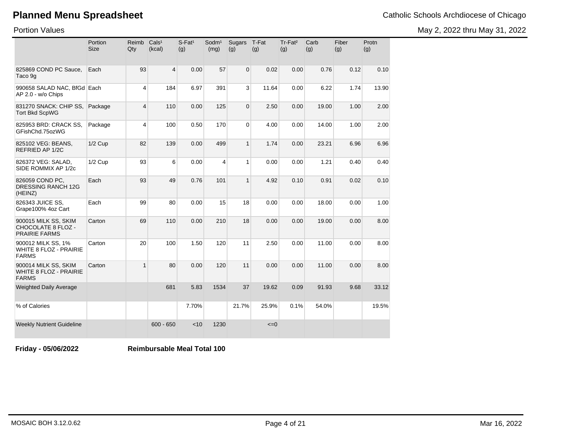Portion Values

| <b>Planned Menu Spreadsheet</b> | Catholic Schools Archdiocese of Chicago |
|---------------------------------|-----------------------------------------|
|---------------------------------|-----------------------------------------|

May 2, 2022 thru May 31, 2022

|                                                                       | Portion<br><b>Size</b> | Reimb<br>Qty | Cals <sup>1</sup><br>(kcal) | $S-Fat1$<br>(g) | Sodm <sup>1</sup><br>(mg) | <b>Sugars</b><br>(g) | T-Fat<br>(g) | Tr-Fat <sup>2</sup><br>(g) | Carb<br>(g) | Fiber<br>(g) | Protn<br>(g) |
|-----------------------------------------------------------------------|------------------------|--------------|-----------------------------|-----------------|---------------------------|----------------------|--------------|----------------------------|-------------|--------------|--------------|
| 825869 COND PC Sauce,<br>Taco 9g                                      | Each                   | 93           | $\overline{4}$              | 0.00            | 57                        | $\mathbf{0}$         | 0.02         | 0.00                       | 0.76        | 0.12         | 0.10         |
| 990658 SALAD NAC, BfGd Each<br>AP 2.0 - w/o Chips                     |                        | 4            | 184                         | 6.97            | 391                       | 3                    | 11.64        | 0.00                       | 6.22        | 1.74         | 13.90        |
| 831270 SNACK: CHIP SS,<br><b>Tort Bkd ScpWG</b>                       | Package                | 4            | 110                         | 0.00            | 125                       | $\mathbf{0}$         | 2.50         | 0.00                       | 19.00       | 1.00         | 2.00         |
| 825953 BRD: CRACK SS.<br>GFishChd.75ozWG                              | Package                | 4            | 100                         | 0.50            | 170                       | $\mathbf 0$          | 4.00         | 0.00                       | 14.00       | 1.00         | 2.00         |
| 825102 VEG: BEANS,<br><b>REFRIED AP 1/2C</b>                          | $1/2$ Cup              | 82           | 139                         | 0.00            | 499                       | $\mathbf{1}$         | 1.74         | 0.00                       | 23.21       | 6.96         | 6.96         |
| 826372 VEG: SALAD,<br>SIDE ROMMIX AP 1/2c                             | $1/2$ Cup              | 93           | 6                           | 0.00            | $\overline{4}$            | 1                    | 0.00         | 0.00                       | 1.21        | 0.40         | 0.40         |
| 826059 COND PC,<br>DRESSING RANCH 12G<br>(HEINZ)                      | Each                   | 93           | 49                          | 0.76            | 101                       | $\mathbf{1}$         | 4.92         | 0.10                       | 0.91        | 0.02         | 0.10         |
| 826343 JUICE SS,<br>Grape100% 4oz Cart                                | Each                   | 99           | 80                          | 0.00            | 15                        | 18                   | 0.00         | 0.00                       | 18.00       | 0.00         | 1.00         |
| 900015 MILK SS, SKIM<br>CHOCOLATE 8 FLOZ -<br><b>PRAIRIE FARMS</b>    | Carton                 | 69           | 110                         | 0.00            | 210                       | 18                   | 0.00         | 0.00                       | 19.00       | 0.00         | 8.00         |
| 900012 MILK SS, 1%<br>WHITE 8 FLOZ - PRAIRIE<br><b>FARMS</b>          | Carton                 | 20           | 100                         | 1.50            | 120                       | 11                   | 2.50         | 0.00                       | 11.00       | 0.00         | 8.00         |
| 900014 MILK SS, SKIM<br><b>WHITE 8 FLOZ - PRAIRIE</b><br><b>FARMS</b> | Carton                 | $\mathbf{1}$ | 80                          | 0.00            | 120                       | 11                   | 0.00         | 0.00                       | 11.00       | 0.00         | 8.00         |
| <b>Weighted Daily Average</b>                                         |                        |              | 681                         | 5.83            | 1534                      | 37                   | 19.62        | 0.09                       | 91.93       | 9.68         | 33.12        |
| % of Calories                                                         |                        |              |                             | 7.70%           |                           | 21.7%                | 25.9%        | 0.1%                       | 54.0%       |              | 19.5%        |
| <b>Weekly Nutrient Guideline</b>                                      |                        |              | $600 - 650$                 | < 10            | 1230                      |                      | $\leq=0$     |                            |             |              |              |

**Friday - 05/06/2022 Reimbursable Meal Total 100**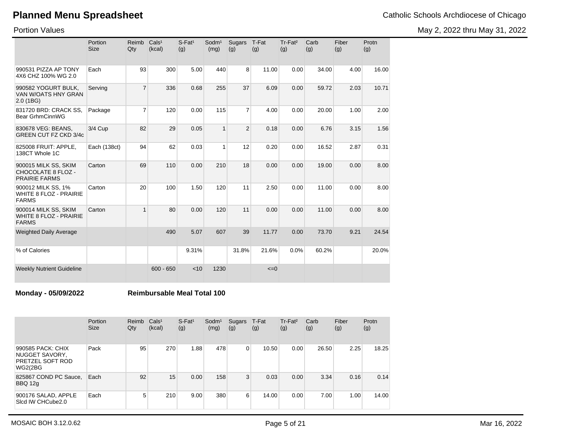May 2, 2022 thru May 31, 2022

Portion Values

|                                                                           | Portion<br><b>Size</b> | Reimb<br>Qty   | Cals <sup>1</sup><br>(kcal) | $S$ -Fat <sup>1</sup><br>(g) | Sodm <sup>1</sup><br>(mg) | Sugars T-Fat<br>(g) | (g)      | Tr-Fat <sup>2</sup><br>(g) | Carb<br>(g) | Fiber<br>(g) | Protn<br>(g) |
|---------------------------------------------------------------------------|------------------------|----------------|-----------------------------|------------------------------|---------------------------|---------------------|----------|----------------------------|-------------|--------------|--------------|
| 990531 PIZZA AP TONY<br>4X6 CHZ 100% WG 2.0                               | Each                   | 93             | 300                         | 5.00                         | 440                       | 8                   | 11.00    | 0.00                       | 34.00       | 4.00         | 16.00        |
| 990582 YOGURT BULK,<br>VAN W/OATS HNY GRAN<br>2.0(1B)                     | Serving                | $\overline{7}$ | 336                         | 0.68                         | 255                       | 37                  | 6.09     | 0.00                       | 59.72       | 2.03         | 10.71        |
| 831720 BRD: CRACK SS,<br><b>Bear GrhmCinnWG</b>                           | Package                | $\overline{7}$ | 120                         | 0.00                         | 115                       | $\overline{7}$      | 4.00     | 0.00                       | 20.00       | 1.00         | 2.00         |
| 830678 VEG: BEANS,<br>GREEN CUT FZ CKD 3/4c                               | $3/4$ Cup              | 82             | 29                          | 0.05                         | 1                         | $\overline{2}$      | 0.18     | 0.00                       | 6.76        | 3.15         | 1.56         |
| 825008 FRUIT: APPLE,<br>138CT Whole 1C                                    | Each (138ct)           | 94             | 62                          | 0.03                         | 1                         | 12                  | 0.20     | 0.00                       | 16.52       | 2.87         | 0.31         |
| 900015 MILK SS, SKIM<br><b>CHOCOLATE 8 FLOZ -</b><br><b>PRAIRIE FARMS</b> | Carton                 | 69             | 110                         | 0.00                         | 210                       | 18                  | 0.00     | 0.00                       | 19.00       | 0.00         | 8.00         |
| 900012 MILK SS, 1%<br><b>WHITE 8 FLOZ - PRAIRIE</b><br><b>FARMS</b>       | Carton                 | 20             | 100                         | 1.50                         | 120                       | 11                  | 2.50     | 0.00                       | 11.00       | 0.00         | 8.00         |
| 900014 MILK SS, SKIM<br><b>WHITE 8 FLOZ - PRAIRIE</b><br><b>FARMS</b>     | Carton                 | 1              | 80                          | 0.00                         | 120                       | 11                  | 0.00     | 0.00                       | 11.00       | 0.00         | 8.00         |
| <b>Weighted Daily Average</b>                                             |                        |                | 490                         | 5.07                         | 607                       | 39                  | 11.77    | 0.00                       | 73.70       | 9.21         | 24.54        |
| % of Calories                                                             |                        |                |                             | 9.31%                        |                           | 31.8%               | 21.6%    | 0.0%                       | 60.2%       |              | 20.0%        |
| <b>Weekly Nutrient Guideline</b>                                          |                        |                | $600 - 650$                 | < 10                         | 1230                      |                     | $\leq=0$ |                            |             |              |              |

**Monday - 05/09/2022 Reimbursable Meal Total 100**

|                                                                                  | Portion<br><b>Size</b> | Reimb<br>Qty | Cals <sup>1</sup><br>(kcal) | $S$ -Fat <sup>1</sup><br>(g) | Sodm <sup>1</sup><br>(mg) | Sugars<br>(g) | T-Fat<br>(g) | Tr-Fat <sup>2</sup><br>(g) | Carb<br>(g) | Fiber<br>(g) | Protn<br>(g) |
|----------------------------------------------------------------------------------|------------------------|--------------|-----------------------------|------------------------------|---------------------------|---------------|--------------|----------------------------|-------------|--------------|--------------|
| 990585 PACK: CHIX<br>NUGGET SAVORY,<br><b>PRETZEL SOFT ROD</b><br><b>WG2(2BG</b> | Pack                   | 95           | 270                         | 1.88                         | 478                       | 0             | 10.50        | 0.00                       | 26.50       | 2.25         | 18.25        |
| 825867 COND PC Sauce,<br>BBQ 12g                                                 | Each                   | 92           | 15                          | 0.00                         | 158                       | 3             | 0.03         | 0.00                       | 3.34        | 0.16         | 0.14         |
| 900176 SALAD, APPLE<br>Sicd IW CHCube2.0                                         | Each                   | 5            | 210                         | 9.00                         | 380                       | 6             | 14.00        | 0.00                       | 7.00        | 1.00         | 14.00        |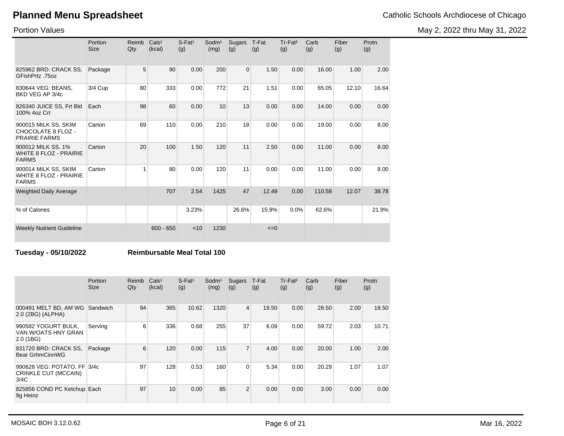May 2, 2022 thru May 31, 2022

Portion Values

|                                                                       | Portion<br><b>Size</b> | Reimb<br>Qty | Cals <sup>1</sup><br>(kcal) | $S$ -Fat <sup>1</sup><br>(g) | Sodm <sup>1</sup><br>(mg) | Sugars<br>(g) | T-Fat<br>(g) | Tr-Fat <sup>2</sup><br>(g) | Carb<br>(g) | Fiber<br>(g) | Protn<br>(g) |
|-----------------------------------------------------------------------|------------------------|--------------|-----------------------------|------------------------------|---------------------------|---------------|--------------|----------------------------|-------------|--------------|--------------|
| 825962 BRD: CRACK SS.<br>GFishPrtz .75oz                              | Package                | 5            | 90                          | 0.00                         | 200                       | $\Omega$      | 1.50         | 0.00                       | 16.00       | 1.00         | 2.00         |
| 830644 VEG: BEANS,<br>BKD VEG AP 3/4c                                 | 3/4 Cup                | 80           | 333                         | 0.00                         | 772                       | 21            | 1.51         | 0.00                       | 65.05       | 12.10        | 16.64        |
| 826340 JUICE SS, Frt Bld<br>100% 4oz Crt                              | Each                   | 98           | 60                          | 0.00                         | 10                        | 13            | 0.00         | 0.00                       | 14.00       | 0.00         | 0.00         |
| 900015 MILK SS, SKIM<br>CHOCOLATE 8 FLOZ -<br><b>PRAIRIE FARMS</b>    | Carton                 | 69           | 110                         | 0.00                         | 210                       | 18            | 0.00         | 0.00                       | 19.00       | 0.00         | 8.00         |
| 900012 MILK SS, 1%<br><b>WHITE 8 FLOZ - PRAIRIE</b><br><b>FARMS</b>   | Carton                 | 20           | 100                         | 1.50                         | 120                       | 11            | 2.50         | 0.00                       | 11.00       | 0.00         | 8.00         |
| 900014 MILK SS, SKIM<br><b>WHITE 8 FLOZ - PRAIRIE</b><br><b>FARMS</b> | Carton                 | 1            | 80                          | 0.00                         | 120                       | 11            | 0.00         | 0.00                       | 11.00       | 0.00         | 8.00         |
| <b>Weighted Daily Average</b>                                         |                        |              | 707                         | 2.54                         | 1425                      | 47            | 12.49        | 0.00                       | 110.58      | 12.07        | 38.78        |
| % of Calories                                                         |                        |              |                             | 3.23%                        |                           | 26.6%         | 15.9%        | 0.0%                       | 62.6%       |              | 21.9%        |
| <b>Weekly Nutrient Guideline</b>                                      |                        |              | $600 - 650$                 | < 10                         | 1230                      |               | $\leq=0$     |                            |             |              |              |

### **Tuesday - 05/10/2022 Reimbursable Meal Total 100**

|                                                             | Portion<br><b>Size</b> | Reimb<br>Qty | Cals <sup>1</sup><br>(kcal) | $S$ -Fat <sup>1</sup><br>(g) | $S$ odm $1$<br>(mg) | Sugars<br>(g)           | T-Fat<br>(g) | Tr-Fat <sup>2</sup><br>(g) | Carb<br>(g) | Fiber<br>(g) | Protn<br>(g) |
|-------------------------------------------------------------|------------------------|--------------|-----------------------------|------------------------------|---------------------|-------------------------|--------------|----------------------------|-------------|--------------|--------------|
| 000491 MELT BD, AM WG<br>2.0 (2BG) (ALPHA)                  | Sandwich               | 94           | 365                         | 10.62                        | 1320                | $\overline{\mathbf{4}}$ | 19.50        | 0.00                       | 28.50       | 2.00         | 18.50        |
| 990582 YOGURT BULK,<br>VAN W/OATS HNY GRAN<br>2.0(1B)       | Serving                | 6            | 336                         | 0.68                         | 255                 | 37                      | 6.09         | 0.00                       | 59.72       | 2.03         | 10.71        |
| 831720 BRD: CRACK SS,<br>Bear GrhmCinnWG                    | Package                | 6            | 120                         | 0.00                         | 115                 | $\overline{7}$          | 4.00         | 0.00                       | 20.00       | 1.00         | 2.00         |
| 990628 VEG: POTATO, FF 3/4c<br>CRINKLE CUT (MCCAIN)<br>3/4C |                        | 97           | 128                         | 0.53                         | 160                 | $\mathbf 0$             | 5.34         | 0.00                       | 20.29       | 1.07         | 1.07         |
| 825856 COND PC Ketchup Each<br>9q Heinz                     |                        | 97           | 10                          | 0.00                         | 85                  | $\overline{2}$          | 0.00         | 0.00                       | 3.00        | 0.00         | 0.00         |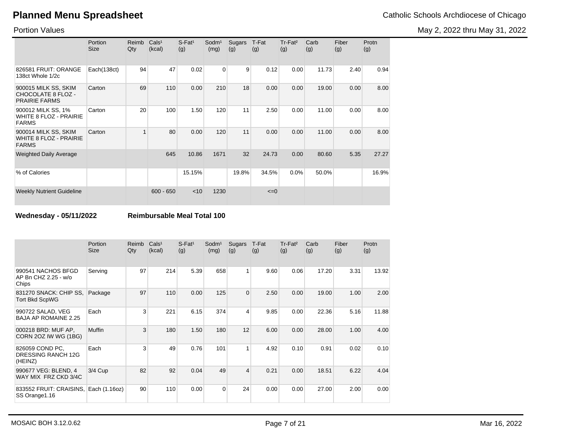May 2, 2022 thru May 31, 2022

Portion Values

|                                                                       | Portion<br><b>Size</b> | Reimb<br>Qty | Cals <sup>1</sup><br>(kcal) | $S$ -Fat <sup>1</sup><br>(g) | Sodm <sup>1</sup><br>(mg) | Sugars<br>(g) | T-Fat<br>(g) | Tr-Fat <sup>2</sup><br>(g) | Carb<br>(g) | Fiber<br>(g) | Protn<br>(g) |
|-----------------------------------------------------------------------|------------------------|--------------|-----------------------------|------------------------------|---------------------------|---------------|--------------|----------------------------|-------------|--------------|--------------|
| 826581 FRUIT: ORANGE<br>138ct Whole 1/2c                              | Each(138ct)            | 94           | 47                          | 0.02                         | 0                         | 9             | 0.12         | 0.00                       | 11.73       | 2.40         | 0.94         |
| 900015 MILK SS, SKIM<br>CHOCOLATE 8 FLOZ -<br><b>PRAIRIE FARMS</b>    | Carton                 | 69           | 110                         | 0.00                         | 210                       | 18            | 0.00         | 0.00                       | 19.00       | 0.00         | 8.00         |
| 900012 MILK SS, 1%<br><b>WHITE 8 FLOZ - PRAIRIE</b><br><b>FARMS</b>   | Carton                 | 20           | 100                         | 1.50                         | 120                       | 11            | 2.50         | 0.00                       | 11.00       | 0.00         | 8.00         |
| 900014 MILK SS, SKIM<br><b>WHITE 8 FLOZ - PRAIRIE</b><br><b>FARMS</b> | Carton                 |              | 80                          | 0.00                         | 120                       | 11            | 0.00         | 0.00                       | 11.00       | 0.00         | 8.00         |
| <b>Weighted Daily Average</b>                                         |                        |              | 645                         | 10.86                        | 1671                      | 32            | 24.73        | 0.00                       | 80.60       | 5.35         | 27.27        |
| % of Calories                                                         |                        |              |                             | 15.15%                       |                           | 19.8%         | 34.5%        | 0.0%                       | 50.0%       |              | 16.9%        |
| <b>Weekly Nutrient Guideline</b>                                      |                        |              | $600 - 650$                 | $<$ 10                       | 1230                      |               | $\leq=0$     |                            |             |              |              |

**Wednesday - 05/11/2022 Reimbursable Meal Total 100**

|                                                     | Portion<br><b>Size</b> | Reimb<br>Qty | Cals <sup>1</sup><br>(kcal) | $S$ -Fat <sup>1</sup><br>(g) | Sodm <sup>1</sup><br>(mg) | Sugars<br>(g)           | T-Fat<br>(g) | Tr-Fat <sup>2</sup><br>(g) | Carb<br>(g) | Fiber<br>(g) | Protn<br>(g) |
|-----------------------------------------------------|------------------------|--------------|-----------------------------|------------------------------|---------------------------|-------------------------|--------------|----------------------------|-------------|--------------|--------------|
| 990541 NACHOS BFGD<br>AP Bn CHZ 2.25 - w/o<br>Chips | Serving                | 97           | 214                         | 5.39                         | 658                       | $\mathbf{1}$            | 9.60         | 0.06                       | 17.20       | 3.31         | 13.92        |
| 831270 SNACK: CHIP SS,<br><b>Tort Bkd ScpWG</b>     | Package                | 97           | 110                         | 0.00                         | 125                       | $\overline{0}$          | 2.50         | 0.00                       | 19.00       | 1.00         | 2.00         |
| 990722 SALAD, VEG<br><b>BAJA AP ROMAINE 2.25</b>    | Each                   | 3            | 221                         | 6.15                         | 374                       | 4                       | 9.85         | 0.00                       | 22.36       | 5.16         | 11.88        |
| 000218 BRD: MUF AP,<br>CORN 20Z IW WG (1BG)         | <b>Muffin</b>          | 3            | 180                         | 1.50                         | 180                       | 12                      | 6.00         | 0.00                       | 28.00       | 1.00         | 4.00         |
| 826059 COND PC,<br>DRESSING RANCH 12G<br>(HEINZ)    | Each                   | 3            | 49                          | 0.76                         | 101                       | $\mathbf{1}$            | 4.92         | 0.10                       | 0.91        | 0.02         | 0.10         |
| 990677 VEG: BLEND, 4<br>WAY MIX FRZ CKD 3/4C        | 3/4 Cup                | 82           | 92                          | 0.04                         | 49                        | $\overline{\mathbf{4}}$ | 0.21         | 0.00                       | 18.51       | 6.22         | 4.04         |
| 833552 FRUIT: CRAISINS,<br>SS Orange 1.16           | Each (1.16oz)          | 90           | 110                         | 0.00                         | $\Omega$                  | 24                      | 0.00         | 0.00                       | 27.00       | 2.00         | 0.00         |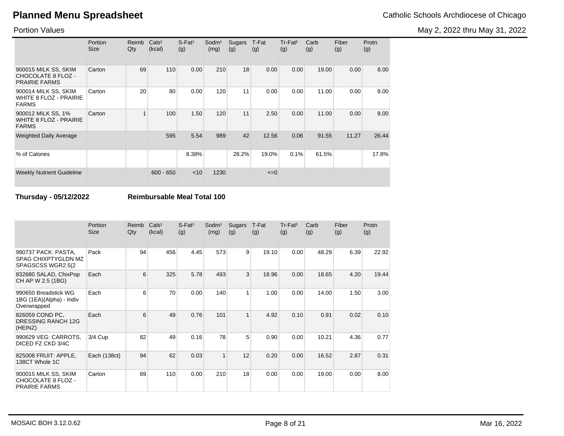Portion Values

|                                                                       | Portion<br><b>Size</b> | Reimb<br>Qty | Cals <sup>1</sup><br>(kcal) | $S$ -Fat <sup>1</sup><br>(g) | Sodm <sup>1</sup><br>(mg) | Sugars<br>(g) | T-Fat<br>(g) | $Tr-Fat2$<br>(g) | Carb<br>(g) | Fiber<br>(g) | Protn<br>(g) |
|-----------------------------------------------------------------------|------------------------|--------------|-----------------------------|------------------------------|---------------------------|---------------|--------------|------------------|-------------|--------------|--------------|
| 900015 MILK SS, SKIM<br>CHOCOLATE 8 FLOZ -<br><b>PRAIRIE FARMS</b>    | Carton                 | 69           | 110                         | 0.00                         | 210                       | 18            | 0.00         | 0.00             | 19.00       | 0.00         | 8.00         |
| 900014 MILK SS, SKIM<br><b>WHITE 8 FLOZ - PRAIRIE</b><br><b>FARMS</b> | Carton                 | 20           | 80                          | 0.00                         | 120                       | 11            | 0.00         | 0.00             | 11.00       | 0.00         | 8.00         |
| 900012 MILK SS, 1%<br><b>WHITE 8 FLOZ - PRAIRIE</b><br><b>FARMS</b>   | Carton                 |              | 100                         | 1.50                         | 120                       | 11            | 2.50         | 0.00             | 11.00       | 0.00         | 8.00         |
| <b>Weighted Daily Average</b>                                         |                        |              | 595                         | 5.54                         | 989                       | 42            | 12.56        | 0.06             | 91.55       | 11.27        | 26.44        |
| % of Calories                                                         |                        |              |                             | 8.38%                        |                           | 28.2%         | 19.0%        | 0.1%             | 61.5%       |              | 17.8%        |
| <b>Weekly Nutrient Guideline</b>                                      |                        |              | $600 - 650$                 | $<$ 10                       | 1230                      |               | $\leq=0$     |                  |             |              |              |

**Thursday - 05/12/2022 Reimbursable Meal Total 100**

|                                                                    | Portion<br>Size | Reimb<br>Qty | Cals <sup>1</sup><br>(kcal) | $S$ -Fat <sup>1</sup><br>(g) | Sodm <sup>1</sup><br>(mg) | Sugars<br>(g) | T-Fat<br>(g) | Tr-Fat <sup>2</sup><br>(g) | Carb<br>(g) | Fiber<br>(g) | Protn<br>(g) |
|--------------------------------------------------------------------|-----------------|--------------|-----------------------------|------------------------------|---------------------------|---------------|--------------|----------------------------|-------------|--------------|--------------|
| 990737 PACK: PASTA,<br>SPAG CHIXPTYGLDN MZ<br>SPAGSCSS WGR2.5(2)   | Pack            | 94           | 456                         | 4.45                         | 573                       | 9             | 19.10        | 0.00                       | 48.29       | 6.39         | 22.92        |
| 832680 SALAD, ChixPop<br>CH AP W 2.5 (1BG)                         | Each            | 6            | 325                         | 5.78                         | 493                       | 3             | 18.96        | 0.00                       | 18.65       | 4.20         | 19.44        |
| 990650 Breadstick WG<br>1BG (1EA)(Alpha) - Indiv<br>Overwrapped    | Each            | 6            | 70                          | 0.00                         | 140                       | 1             | 1.00         | 0.00                       | 14.00       | 1.50         | 3.00         |
| 826059 COND PC,<br><b>DRESSING RANCH 12G</b><br>(HEINZ)            | Each            | 6            | 49                          | 0.76                         | 101                       | $\mathbf{1}$  | 4.92         | 0.10                       | 0.91        | 0.02         | 0.10         |
| 990629 VEG: CARROTS,<br>DICED FZ CKD 3/4C                          | 3/4 Cup         | 82           | 49                          | 0.16                         | 78                        | 5             | 0.90         | 0.00                       | 10.21       | 4.36         | 0.77         |
| 825008 FRUIT: APPLE,<br>138CT Whole 1C                             | Each (138ct)    | 94           | 62                          | 0.03                         | 1                         | 12            | 0.20         | 0.00                       | 16.52       | 2.87         | 0.31         |
| 900015 MILK SS, SKIM<br>CHOCOLATE 8 FLOZ -<br><b>PRAIRIE FARMS</b> | Carton          | 69           | 110                         | 0.00                         | 210                       | 18            | 0.00         | 0.00                       | 19.00       | 0.00         | 8.00         |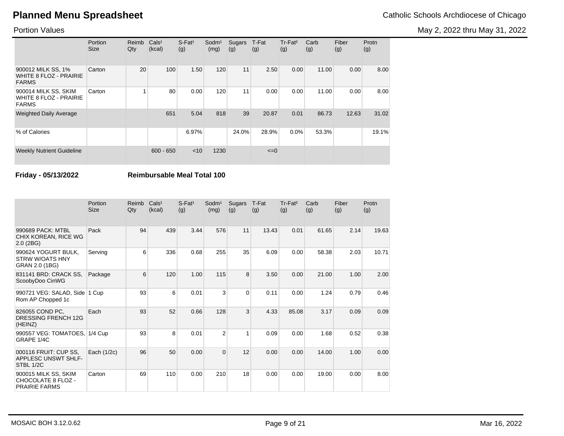May 2, 2022 thru May 31, 2022

### Portion Values

|                                                                       | Portion<br><b>Size</b> | Reimb<br>Qty | Cals <sup>1</sup><br>(kcal) | $S$ -Fat <sup>1</sup><br>(g) | Sodm <sup>1</sup><br>(mg) | Sugars<br>(g) | T-Fat<br>(g) | Tr-Fat <sup>2</sup><br>(g) | Carb<br>(g) | Fiber<br>(g) | Protn<br>(g) |
|-----------------------------------------------------------------------|------------------------|--------------|-----------------------------|------------------------------|---------------------------|---------------|--------------|----------------------------|-------------|--------------|--------------|
| 900012 MILK SS, 1%<br><b>WHITE 8 FLOZ - PRAIRIE</b><br><b>FARMS</b>   | Carton                 | 20           | 100                         | 1.50                         | 120                       | 11            | 2.50         | 0.00                       | 11.00       | 0.00         | 8.00         |
| 900014 MILK SS, SKIM<br><b>WHITE 8 FLOZ - PRAIRIE</b><br><b>FARMS</b> | Carton                 |              | 80                          | 0.00                         | 120                       | 11            | 0.00         | 0.00                       | 11.00       | 0.00         | 8.00         |
| <b>Weighted Daily Average</b>                                         |                        |              | 651                         | 5.04                         | 818                       | 39            | 20.87        | 0.01                       | 86.73       | 12.63        | 31.02        |
| % of Calories                                                         |                        |              |                             | 6.97%                        |                           | 24.0%         | 28.9%        | 0.0%                       | 53.3%       |              | 19.1%        |
| <b>Weekly Nutrient Guideline</b>                                      |                        |              | $600 - 650$                 | $<$ 10                       | 1230                      |               | $\leq=0$     |                            |             |              |              |

**Friday - 05/13/2022 Reimbursable Meal Total 100**

|                                                                    | Portion<br><b>Size</b> | Reimb<br>Qty | Cals <sup>1</sup><br>(kcal) | $S$ -Fat <sup>1</sup><br>(g) | Sodm <sup>1</sup><br>(mg) | Sugars<br>(g) | T-Fat<br>(g) | Tr-Fat <sup>2</sup><br>(g) | Carb<br>(g) | Fiber<br>(g) | Protn<br>(g) |
|--------------------------------------------------------------------|------------------------|--------------|-----------------------------|------------------------------|---------------------------|---------------|--------------|----------------------------|-------------|--------------|--------------|
| 990689 PACK: MTBL<br>CHIX KOREAN, RICE WG<br>$2.0$ (2BG)           | Pack                   | 94           | 439                         | 3.44                         | 576                       | 11            | 13.43        | 0.01                       | 61.65       | 2.14         | 19.63        |
| 990624 YOGURT BULK.<br>STRW W/OATS HNY<br>GRAN 2.0 (1BG)           | Serving                | 6            | 336                         | 0.68                         | 255                       | 35            | 6.09         | 0.00                       | 58.38       | 2.03         | 10.71        |
| 831141 BRD: CRACK SS,<br>ScoobyDoo CinWG                           | Package                | 6            | 120                         | 1.00                         | 115                       | 8             | 3.50         | 0.00                       | 21.00       | 1.00         | 2.00         |
| 990721 VEG: SALAD, Side<br>Rom AP Chopped 1c                       | 1 Cup                  | 93           | 6                           | 0.01                         | 3                         | $\Omega$      | 0.11         | 0.00                       | 1.24        | 0.79         | 0.46         |
| 826055 COND PC,<br><b>DRESSING FRENCH 12G</b><br>(HEINZ)           | Each                   | 93           | 52                          | 0.66                         | 128                       | 3             | 4.33         | 85.08                      | 3.17        | 0.09         | 0.09         |
| 990557 VEG: TOMATOES, 1/4 Cup<br>GRAPE 1/4C                        |                        | 93           | 8                           | 0.01                         | $\overline{2}$            | 1             | 0.09         | 0.00                       | 1.68        | 0.52         | 0.38         |
| 000116 FRUIT: CUP SS.<br>APPLESC UNSWT SHLF-<br>STBL 1/2C          | Each $(1/2c)$          | 96           | 50                          | 0.00                         | $\overline{0}$            | 12            | 0.00         | 0.00                       | 14.00       | 1.00         | 0.00         |
| 900015 MILK SS, SKIM<br>CHOCOLATE 8 FLOZ -<br><b>PRAIRIE FARMS</b> | Carton                 | 69           | 110                         | 0.00                         | 210                       | 18            | 0.00         | 0.00                       | 19.00       | 0.00         | 8.00         |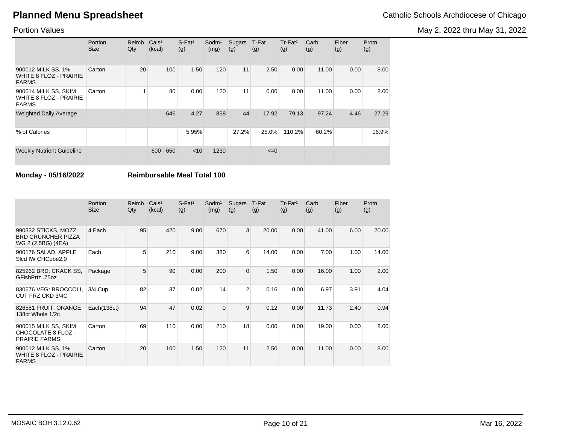May 2, 2022 thru May 31, 2022

### Portion Values

|                                                                       | Portion<br><b>Size</b> | Reimb<br>Qty | Cals <sup>1</sup><br>(kcal) | $S$ -Fat <sup>1</sup><br>(g) | Sodm <sup>1</sup><br>(mg) | Sugars<br>(g) | T-Fat<br>(g) | Tr-Fat <sup>2</sup><br>(g) | Carb<br>(g) | Fiber<br>(g) | Protn<br>(g) |
|-----------------------------------------------------------------------|------------------------|--------------|-----------------------------|------------------------------|---------------------------|---------------|--------------|----------------------------|-------------|--------------|--------------|
| 900012 MILK SS, 1%<br><b>WHITE 8 FLOZ - PRAIRIE</b><br><b>FARMS</b>   | Carton                 | 20           | 100                         | 1.50                         | 120                       | 11            | 2.50         | 0.00                       | 11.00       | 0.00         | 8.00         |
| 900014 MILK SS, SKIM<br><b>WHITE 8 FLOZ - PRAIRIE</b><br><b>FARMS</b> | Carton                 | 4            | 80                          | 0.00                         | 120                       | 11            | 0.00         | 0.00                       | 11.00       | 0.00         | 8.00         |
| <b>Weighted Daily Average</b>                                         |                        |              | 646                         | 4.27                         | 858                       | 44            | 17.92        | 79.13                      | 97.24       | 4.46         | 27.29        |
| % of Calories                                                         |                        |              |                             | 5.95%                        |                           | 27.2%         | 25.0%        | 110.2%                     | 60.2%       |              | 16.9%        |
| <b>Weekly Nutrient Guideline</b>                                      |                        |              | $600 - 650$                 | < 10                         | 1230                      |               | $\leq=0$     |                            |             |              |              |

**Monday - 05/16/2022 Reimbursable Meal Total 100**

|                                                                        | Portion<br><b>Size</b> | Reimb<br>Qty | Cals <sup>1</sup><br>(kcal) | $S$ -Fat <sup>1</sup><br>(g) | Sodm <sup>1</sup><br>(mg) | Sugars<br>(g)  | T-Fat<br>(g) | $Tr-Fat2$<br>(g) | Carb<br>(g) | Fiber<br>(g) | Protn<br>(g) |
|------------------------------------------------------------------------|------------------------|--------------|-----------------------------|------------------------------|---------------------------|----------------|--------------|------------------|-------------|--------------|--------------|
| 990332 STICKS, MOZZ<br><b>BRD CRUNCHER PIZZA</b><br>WG 2 (2.5BG) (4EA) | 4 Each                 | 95           | 420                         | 9.00                         | 670                       | 3 <sup>1</sup> | 20.00        | 0.00             | 41.00       | 6.00         | 20.00        |
| 900176 SALAD, APPLE<br>Sicd IW CHCube2.0                               | Each                   | 5            | 210                         | 9.00                         | 380                       | 6              | 14.00        | 0.00             | 7.00        | 1.00         | 14.00        |
| 825962 BRD: CRACK SS,<br>GFishPrtz .75oz                               | Package                | 5            | 90                          | 0.00                         | 200                       | $\overline{0}$ | 1.50         | 0.00             | 16.00       | 1.00         | 2.00         |
| 830676 VEG: BROCCOLI.<br>CUT FRZ CKD 3/4C                              | 3/4 Cup                | 82           | 37                          | 0.02                         | 14                        | $\overline{2}$ | 0.16         | 0.00             | 6.97        | 3.91         | 4.04         |
| 826581 FRUIT: ORANGE<br>138ct Whole 1/2c                               | Each(138ct)            | 94           | 47                          | 0.02                         | $\Omega$                  | 9              | 0.12         | 0.00             | 11.73       | 2.40         | 0.94         |
| 900015 MILK SS, SKIM<br>CHOCOLATE 8 FLOZ -<br><b>PRAIRIE FARMS</b>     | Carton                 | 69           | 110                         | 0.00                         | 210                       | 18             | 0.00         | 0.00             | 19.00       | 0.00         | 8.00         |
| 900012 MILK SS, 1%<br><b>WHITE 8 FLOZ - PRAIRIE</b><br><b>FARMS</b>    | Carton                 | 20           | 100                         | 1.50                         | 120                       | 11             | 2.50         | 0.00             | 11.00       | 0.00         | 8.00         |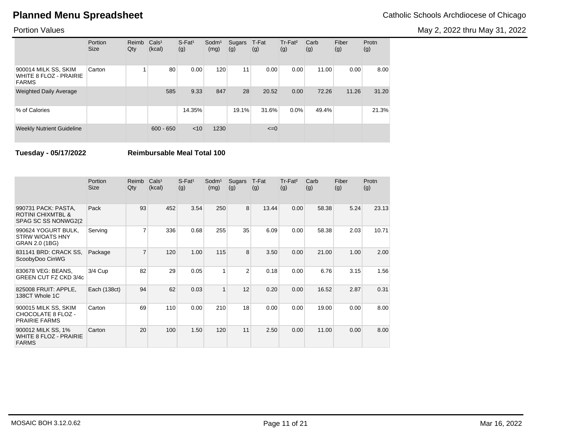May 2, 2022 thru May 31, 2022

### Portion Values

|                                                                       | Portion<br><b>Size</b> | Reimb<br>Qty | Cals <sup>1</sup><br>(kcal) | $S$ -Fat <sup>1</sup><br>(g) | Sodm <sup>1</sup><br>(mg) | Sugars<br>(g) | T-Fat<br>(g) | Tr-Fat <sup>2</sup><br>(g) | Carb<br>(g) | Fiber<br>(g) | Protn<br>(g) |
|-----------------------------------------------------------------------|------------------------|--------------|-----------------------------|------------------------------|---------------------------|---------------|--------------|----------------------------|-------------|--------------|--------------|
| 900014 MILK SS, SKIM<br><b>WHITE 8 FLOZ - PRAIRIE</b><br><b>FARMS</b> | Carton                 |              | 80                          | 0.00                         | 120                       | 11            | 0.00         | 0.00                       | 11.00       | 0.00         | 8.00         |
| <b>Weighted Daily Average</b>                                         |                        |              | 585                         | 9.33                         | 847                       | 28            | 20.52        | 0.00                       | 72.26       | 11.26        | 31.20        |
| % of Calories                                                         |                        |              |                             | 14.35%                       |                           | 19.1%         | 31.6%        | 0.0%                       | 49.4%       |              | 21.3%        |
| <b>Weekly Nutrient Guideline</b>                                      |                        |              | $600 - 650$                 | $<$ 10                       | 1230                      |               | $\leq=0$     |                            |             |              |              |

**Tuesday - 05/17/2022 Reimbursable Meal Total 100**

|                                                                             | <b>Portion</b><br><b>Size</b> | Reimb<br>Qty   | Cals <sup>1</sup><br>(kcal) | $S$ -Fat <sup>1</sup><br>(g) | Sodm <sup>1</sup><br>(mg) | Sugars<br>(g)  | T-Fat<br>(g) | Tr-Fat <sup>2</sup><br>(g) | Carb<br>(g) | Fiber<br>(g) | Protn<br>(g) |
|-----------------------------------------------------------------------------|-------------------------------|----------------|-----------------------------|------------------------------|---------------------------|----------------|--------------|----------------------------|-------------|--------------|--------------|
| 990731 PACK: PASTA,<br><b>ROTINI CHIXMTBL &amp;</b><br>SPAG SC SS NONWG2(2) | Pack                          | 93             | 452                         | 3.54                         | 250                       | 8              | 13.44        | 0.00                       | 58.38       | 5.24         | 23.13        |
| 990624 YOGURT BULK,<br><b>STRW W/OATS HNY</b><br>GRAN 2.0 (1BG)             | Serving                       | 7              | 336                         | 0.68                         | 255                       | 35             | 6.09         | 0.00                       | 58.38       | 2.03         | 10.71        |
| 831141 BRD: CRACK SS,<br>ScoobyDoo CinWG                                    | Package                       | $\overline{7}$ | 120                         | 1.00                         | 115                       | 8              | 3.50         | 0.00                       | 21.00       | 1.00         | 2.00         |
| 830678 VEG: BEANS,<br>GREEN CUT FZ CKD 3/4c                                 | 3/4 Cup                       | 82             | 29                          | 0.05                         | 1                         | $\overline{2}$ | 0.18         | 0.00                       | 6.76        | 3.15         | 1.56         |
| 825008 FRUIT: APPLE,<br>138CT Whole 1C                                      | Each (138ct)                  | 94             | 62                          | 0.03                         | $\mathbf{1}$              | 12             | 0.20         | 0.00                       | 16.52       | 2.87         | 0.31         |
| 900015 MILK SS, SKIM<br>CHOCOLATE 8 FLOZ -<br><b>PRAIRIE FARMS</b>          | Carton                        | 69             | 110                         | 0.00                         | 210                       | 18             | 0.00         | 0.00                       | 19.00       | 0.00         | 8.00         |
| 900012 MILK SS, 1%<br><b>WHITE 8 FLOZ - PRAIRIE</b><br><b>FARMS</b>         | Carton                        | 20             | 100                         | 1.50                         | 120                       | 11             | 2.50         | 0.00                       | 11.00       | 0.00         | 8.00         |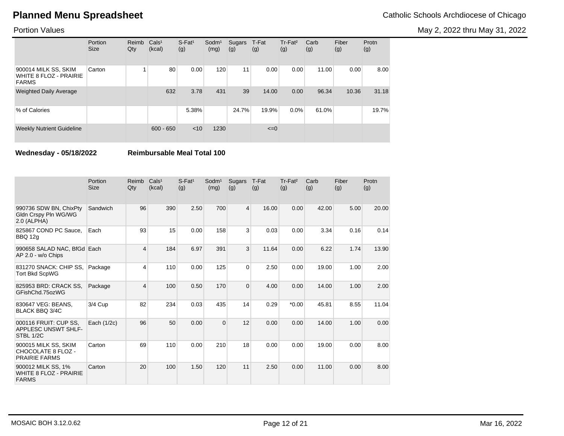May 2, 2022 thru May 31, 2022

### Portion Values

|                                                                       | Portion<br><b>Size</b> | Reimb<br>Qty | Cals <sup>1</sup><br>(kcal) | $S$ -Fat <sup>1</sup><br>(g) | $S$ odm $1$<br>(mg) | Sugars<br>(g) | T-Fat<br>(g) | Tr-Fat <sup>2</sup><br>(g) | Carb<br>(g) | Fiber<br>(g) | Protn<br>(g) |
|-----------------------------------------------------------------------|------------------------|--------------|-----------------------------|------------------------------|---------------------|---------------|--------------|----------------------------|-------------|--------------|--------------|
| 900014 MILK SS, SKIM<br><b>WHITE 8 FLOZ - PRAIRIE</b><br><b>FARMS</b> | Carton                 |              | 80                          | 0.00                         | 120                 | 11            | 0.00         | 0.00                       | 11.00       | 0.00         | 8.00         |
| <b>Weighted Daily Average</b>                                         |                        |              | 632                         | 3.78                         | 431                 | 39            | 14.00        | 0.00                       | 96.34       | 10.36        | 31.18        |
| % of Calories                                                         |                        |              |                             | 5.38%                        |                     | 24.7%         | 19.9%        | $0.0\%$                    | 61.0%       |              | 19.7%        |
| <b>Weekly Nutrient Guideline</b>                                      |                        |              | $600 - 650$                 | < 10                         | 1230                |               | $\leq=0$     |                            |             |              |              |

**Wednesday - 05/18/2022 Reimbursable Meal Total 100**

|                                                                     | Portion<br><b>Size</b> | Reimb<br>Qty   | Cals <sup>1</sup><br>(kcal) | $S$ -Fat <sup>1</sup><br>(g) | $S$ odm $1$<br>(mg) | Sugars<br>(g)  | T-Fat<br>(g) | Tr-Fat <sup>2</sup><br>(g) | Carb<br>(g) | Fiber<br>(g) | Protn<br>(g) |
|---------------------------------------------------------------------|------------------------|----------------|-----------------------------|------------------------------|---------------------|----------------|--------------|----------------------------|-------------|--------------|--------------|
| 990736 SDW BN, ChixPty<br>Gldn Crspy Pln WG/WG<br>2.0 (ALPHA)       | Sandwich               | 96             | 390                         | 2.50                         | 700                 | $\overline{4}$ | 16.00        | 0.00                       | 42.00       | 5.00         | 20.00        |
| 825867 COND PC Sauce,<br>BBQ 12g                                    | Each                   | 93             | 15                          | 0.00                         | 158                 | 3              | 0.03         | 0.00                       | 3.34        | 0.16         | 0.14         |
| 990658 SALAD NAC, BfGd Each<br>AP 2.0 - w/o Chips                   |                        | 4              | 184                         | 6.97                         | 391                 | 3              | 11.64        | 0.00                       | 6.22        | 1.74         | 13.90        |
| 831270 SNACK: CHIP SS,<br><b>Tort Bkd ScpWG</b>                     | Package                | 4              | 110                         | 0.00                         | 125                 | $\mathbf 0$    | 2.50         | 0.00                       | 19.00       | 1.00         | 2.00         |
| 825953 BRD: CRACK SS,<br>GFishChd.75ozWG                            | Package                | $\overline{4}$ | 100                         | 0.50                         | 170                 | 0              | 4.00         | 0.00                       | 14.00       | 1.00         | 2.00         |
| 830647 VEG: BEANS,<br><b>BLACK BBQ 3/4C</b>                         | 3/4 Cup                | 82             | 234                         | 0.03                         | 435                 | 14             | 0.29         | $*0.00$                    | 45.81       | 8.55         | 11.04        |
| 000116 FRUIT: CUP SS.<br><b>APPLESC UNSWT SHLF-</b><br>STBL 1/2C    | Each (1/2c)            | 96             | 50                          | 0.00                         | $\Omega$            | 12             | 0.00         | 0.00                       | 14.00       | 1.00         | 0.00         |
| 900015 MILK SS, SKIM<br>CHOCOLATE 8 FLOZ -<br><b>PRAIRIE FARMS</b>  | Carton                 | 69             | 110                         | 0.00                         | 210                 | 18             | 0.00         | 0.00                       | 19.00       | 0.00         | 8.00         |
| 900012 MILK SS, 1%<br><b>WHITE 8 FLOZ - PRAIRIE</b><br><b>FARMS</b> | Carton                 | 20             | 100                         | 1.50                         | 120                 | 11             | 2.50         | 0.00                       | 11.00       | 0.00         | 8.00         |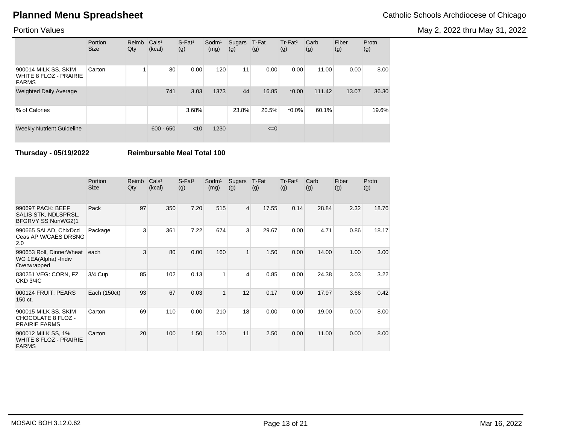May 2, 2022 thru May 31, 2022

### Portion Values

|                                                                | Portion<br><b>Size</b> | Reimb<br>Qty | Cals <sup>1</sup><br>(kcal) | $S$ -Fat <sup>1</sup><br>(g) | $S$ odm $1$<br>(mg) | Sugars<br>(g) | T-Fat<br>(g) | Tr-Fat <sup>2</sup><br>(g) | Carb<br>(g) | Fiber<br>(g) | Protn<br>(g) |
|----------------------------------------------------------------|------------------------|--------------|-----------------------------|------------------------------|---------------------|---------------|--------------|----------------------------|-------------|--------------|--------------|
| 900014 MILK SS, SKIM<br>WHITE 8 FLOZ - PRAIRIE<br><b>FARMS</b> | Carton                 |              | 80                          | 0.00                         | 120                 | 11            | 0.00         | 0.00                       | 11.00       | 0.00         | 8.00         |
| <b>Weighted Daily Average</b>                                  |                        |              | 741                         | 3.03                         | 1373                | 44            | 16.85        | $*0.00$                    | 111.42      | 13.07        | 36.30        |
| % of Calories                                                  |                        |              |                             | 3.68%                        |                     | 23.8%         | 20.5%        | $*0.0\%$                   | 60.1%       |              | 19.6%        |
| <b>Weekly Nutrient Guideline</b>                               |                        |              | $600 - 650$                 | < 10                         | 1230                |               | $\leq=0$     |                            |             |              |              |

**Thursday - 05/19/2022 Reimbursable Meal Total 100**

|                                                                     | Portion<br><b>Size</b> | Reimb<br>Qty   | Cals <sup>1</sup><br>(kcal) | $S$ -Fat <sup>1</sup><br>(g) | Sodm <sup>1</sup><br>(mg) | Sugars<br>(g)  | T-Fat<br>(g) | Tr-Fat <sup>2</sup><br>(g) | Carb<br>(g) | Fiber<br>(g) | Protn<br>(g) |
|---------------------------------------------------------------------|------------------------|----------------|-----------------------------|------------------------------|---------------------------|----------------|--------------|----------------------------|-------------|--------------|--------------|
| 990697 PACK: BEEF<br>SALIS STK, NDLSPRSL,<br>BFGRVY SS NonWG2(1     | Pack                   | 97             | 350                         | 7.20                         | 515                       | $\overline{4}$ | 17.55        | 0.14                       | 28.84       | 2.32         | 18.76        |
| 990665 SALAD, ChixDcd<br>Ceas AP W/CAES DRSNG<br>2.0                | Package                | $\overline{3}$ | 361                         | 7.22                         | 674                       | 3              | 29.67        | 0.00                       | 4.71        | 0.86         | 18.17        |
| 990653 Roll, DinnerWheat<br>WG 1EA(Alpha) - Indiv<br>Overwrapped    | each                   | 3              | 80                          | 0.00                         | 160                       | $\mathbf{1}$   | 1.50         | 0.00                       | 14.00       | 1.00         | 3.00         |
| 830251 VEG: CORN, FZ<br><b>CKD 3/4C</b>                             | 3/4 Cup                | 85             | 102                         | 0.13                         | 1                         | 4              | 0.85         | 0.00                       | 24.38       | 3.03         | 3.22         |
| 000124 FRUIT: PEARS<br>150 ct.                                      | Each (150ct)           | 93             | 67                          | 0.03                         | $\overline{1}$            | 12             | 0.17         | 0.00                       | 17.97       | 3.66         | 0.42         |
| 900015 MILK SS, SKIM<br>CHOCOLATE 8 FLOZ -<br><b>PRAIRIE FARMS</b>  | Carton                 | 69             | 110                         | 0.00                         | 210                       | 18             | 0.00         | 0.00                       | 19.00       | 0.00         | 8.00         |
| 900012 MILK SS, 1%<br><b>WHITE 8 FLOZ - PRAIRIE</b><br><b>FARMS</b> | Carton                 | 20             | 100                         | 1.50                         | 120                       | 11             | 2.50         | 0.00                       | 11.00       | 0.00         | 8.00         |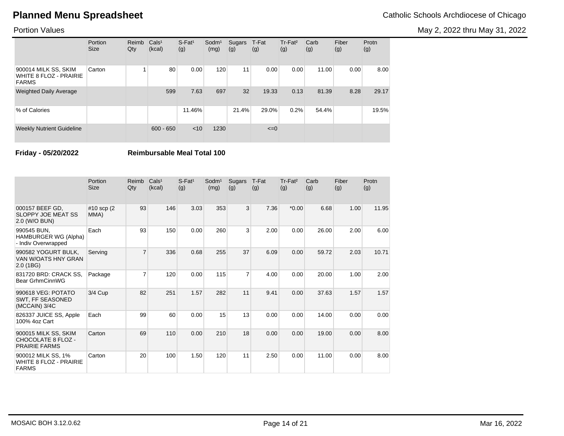May 2, 2022 thru May 31, 2022

### Portion Values

|                                                                | Portion<br><b>Size</b> | Reimb<br>Qty | Cals <sup>1</sup><br>(kcal) | $S$ -Fat <sup>1</sup><br>(g) | Sodm <sup>1</sup><br>(mg) | Sugars<br>(g) | T-Fat<br>(g) | $Tr-Fat2$<br>(g) | Carb<br>(g) | Fiber<br>(g) | Protn<br>(g) |
|----------------------------------------------------------------|------------------------|--------------|-----------------------------|------------------------------|---------------------------|---------------|--------------|------------------|-------------|--------------|--------------|
| 900014 MILK SS, SKIM<br>WHITE 8 FLOZ - PRAIRIE<br><b>FARMS</b> | Carton                 |              | 80                          | 0.00                         | 120                       | 11            | 0.00         | 0.00             | 11.00       | 0.00         | 8.00         |
| <b>Weighted Daily Average</b>                                  |                        |              | 599                         | 7.63                         | 697                       | 32            | 19.33        | 0.13             | 81.39       | 8.28         | 29.17        |
| % of Calories                                                  |                        |              |                             | 11.46%                       |                           | 21.4%         | 29.0%        | 0.2%             | 54.4%       |              | 19.5%        |
| <b>Weekly Nutrient Guideline</b>                               |                        |              | $600 - 650$                 | < 10                         | 1230                      |               | $\leq=0$     |                  |             |              |              |

**Friday - 05/20/2022 Reimbursable Meal Total 100**

|                                                                     | Portion<br><b>Size</b> | Reimb<br>Qty   | Cals <sup>1</sup><br>(kcal) | $S$ -Fat <sup>1</sup><br>(g) | $S$ odm $1$<br>(mg) | Sugars<br>(g)  | T-Fat<br>(g) | Tr-Fat <sup>2</sup><br>(g) | Carb<br>(g) | Fiber<br>(g) | Protn<br>(g) |
|---------------------------------------------------------------------|------------------------|----------------|-----------------------------|------------------------------|---------------------|----------------|--------------|----------------------------|-------------|--------------|--------------|
| 000157 BEEF GD,<br><b>SLOPPY JOE MEAT SS</b><br>2.0 (W/O BUN)       | #10 scp (2)<br>MMA)    | 93             | 146                         | 3.03                         | 353                 | 3              | 7.36         | $*0.00$                    | 6.68        | 1.00         | 11.95        |
| 990545 BUN.<br>HAMBURGER WG (Alpha)<br>- Indiv Overwrapped          | Each                   | 93             | 150                         | 0.00                         | 260                 | 3              | 2.00         | 0.00                       | 26.00       | 2.00         | 6.00         |
| 990582 YOGURT BULK.<br>VAN W/OATS HNY GRAN<br>2.0(1B)               | Serving                | $\overline{7}$ | 336                         | 0.68                         | 255                 | 37             | 6.09         | 0.00                       | 59.72       | 2.03         | 10.71        |
| 831720 BRD: CRACK SS,<br>Bear GrhmCinnWG                            | Package                | $\overline{7}$ | 120                         | 0.00                         | 115                 | $\overline{7}$ | 4.00         | 0.00                       | 20.00       | 1.00         | 2.00         |
| 990618 VEG: POTATO<br>SWT, FF SEASONED<br>(MCCAIN) 3/4C             | $3/4$ Cup              | 82             | 251                         | 1.57                         | 282                 | 11             | 9.41         | 0.00                       | 37.63       | 1.57         | 1.57         |
| 826337 JUICE SS, Apple<br>100% 4oz Cart                             | Each                   | 99             | 60                          | 0.00                         | 15                  | 13             | 0.00         | 0.00                       | 14.00       | 0.00         | 0.00         |
| 900015 MILK SS, SKIM<br>CHOCOLATE 8 FLOZ -<br><b>PRAIRIE FARMS</b>  | Carton                 | 69             | 110                         | 0.00                         | 210                 | 18             | 0.00         | 0.00                       | 19.00       | 0.00         | 8.00         |
| 900012 MILK SS, 1%<br><b>WHITE 8 FLOZ - PRAIRIE</b><br><b>FARMS</b> | Carton                 | 20             | 100                         | 1.50                         | 120                 | 11             | 2.50         | 0.00                       | 11.00       | 0.00         | 8.00         |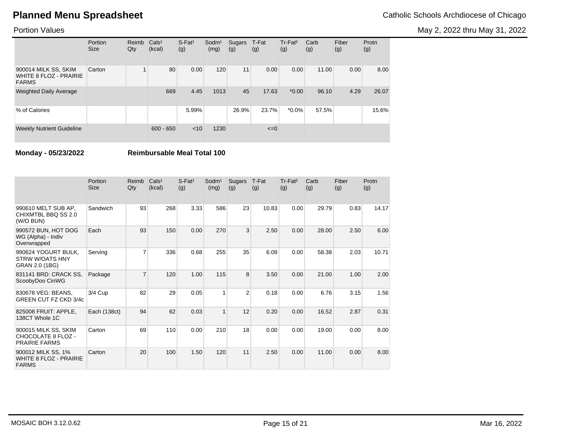May 2, 2022 thru May 31, 2022

### Portion Values

|                                                                       | Portion<br><b>Size</b> | Reimb<br>Qty | Cals <sup>1</sup><br>(kcal) | $S$ -Fat <sup>1</sup><br>(g) | $S$ odm $1$<br>(mg) | Sugars<br>(g) | T-Fat<br>(g) | Tr-Fat <sup>2</sup><br>(g) | Carb<br>(g) | Fiber<br>(g) | Protn<br>(g) |
|-----------------------------------------------------------------------|------------------------|--------------|-----------------------------|------------------------------|---------------------|---------------|--------------|----------------------------|-------------|--------------|--------------|
| 900014 MILK SS, SKIM<br><b>WHITE 8 FLOZ - PRAIRIE</b><br><b>FARMS</b> | Carton                 |              | 80                          | 0.00                         | 120                 | 11            | 0.00         | 0.00                       | 11.00       | 0.00         | 8.00         |
| <b>Weighted Daily Average</b>                                         |                        |              | 669                         | 4.45                         | 1013                | 45            | 17.63        | $*0.00$                    | 96.10       | 4.29         | 26.07        |
| % of Calories                                                         |                        |              |                             | 5.99%                        |                     | 26.9%         | 23.7%        | $*0.0\%$                   | 57.5%       |              | 15.6%        |
| <b>Weekly Nutrient Guideline</b>                                      |                        |              | $600 - 650$                 | < 10                         | 1230                |               | $\leq=0$     |                            |             |              |              |

**Monday - 05/23/2022 Reimbursable Meal Total 100**

|                                                                     | Portion<br><b>Size</b> | Reimb<br>Qty   | Cals <sup>1</sup><br>(kcal) | $S$ -Fat <sup>1</sup><br>(g) | Sodm <sup>1</sup><br>(mg) | Sugars<br>(g)  | T-Fat<br>(g) | Tr-Fat <sup>2</sup><br>(g) | Carb<br>(g) | Fiber<br>(g) | Protn<br>(g) |
|---------------------------------------------------------------------|------------------------|----------------|-----------------------------|------------------------------|---------------------------|----------------|--------------|----------------------------|-------------|--------------|--------------|
| 990610 MELT SUB AP,<br>CHIXMTBL BBQ SS 2.0<br>(W/O BUN)             | Sandwich               | 93             | 268                         | 3.33                         | 586                       | 23             | 10.83        | 0.00                       | 29.79       | 0.83         | 14.17        |
| 990572 BUN, HOT DOG<br>WG (Alpha) - Indiv<br>Overwrapped            | Each                   | 93             | 150                         | 0.00                         | 270                       | 3              | 2.50         | 0.00                       | 28.00       | 2.50         | 6.00         |
| 990624 YOGURT BULK,<br><b>STRW W/OATS HNY</b><br>GRAN 2.0 (1BG)     | Serving                | $\overline{7}$ | 336                         | 0.68                         | 255                       | 35             | 6.09         | 0.00                       | 58.38       | 2.03         | 10.71        |
| 831141 BRD: CRACK SS,<br>ScoobyDoo CinWG                            | Package                | $\overline{7}$ | 120                         | 1.00                         | 115                       | 8              | 3.50         | 0.00                       | 21.00       | 1.00         | 2.00         |
| 830678 VEG: BEANS.<br>GREEN CUT FZ CKD 3/4c                         | 3/4 Cup                | 82             | 29                          | 0.05                         | 1                         | $\overline{2}$ | 0.18         | 0.00                       | 6.76        | 3.15         | 1.56         |
| 825008 FRUIT: APPLE,<br>138CT Whole 1C                              | Each (138ct)           | 94             | 62                          | 0.03                         | $\mathbf{1}$              | 12             | 0.20         | 0.00                       | 16.52       | 2.87         | 0.31         |
| 900015 MILK SS, SKIM<br>CHOCOLATE 8 FLOZ -<br><b>PRAIRIE FARMS</b>  | Carton                 | 69             | 110                         | 0.00                         | 210                       | 18             | 0.00         | 0.00                       | 19.00       | 0.00         | 8.00         |
| 900012 MILK SS, 1%<br><b>WHITE 8 FLOZ - PRAIRIE</b><br><b>FARMS</b> | Carton                 | 20             | 100                         | 1.50                         | 120                       | 11             | 2.50         | 0.00                       | 11.00       | 0.00         | 8.00         |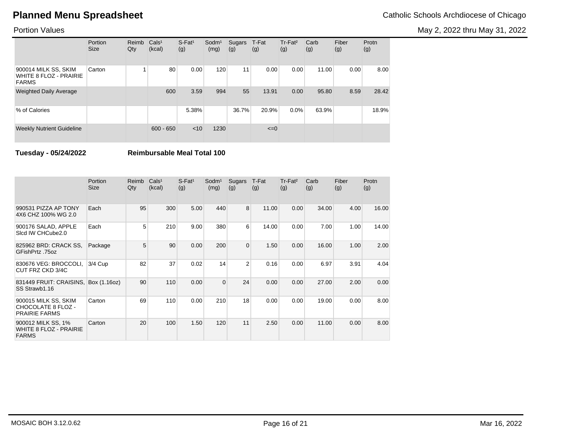May 2, 2022 thru May 31, 2022

### Portion Values

|                                                                       | Portion<br><b>Size</b> | Reimb<br>Qty | Cals <sup>1</sup><br>(kcal) | $S$ -Fat <sup>1</sup><br>(g) | $S$ odm $1$<br>(mg) | Sugars<br>(g) | T-Fat<br>(g) | Tr-Fat <sup>2</sup><br>(g) | Carb<br>(g) | Fiber<br>(g) | Protn<br>(g) |
|-----------------------------------------------------------------------|------------------------|--------------|-----------------------------|------------------------------|---------------------|---------------|--------------|----------------------------|-------------|--------------|--------------|
| 900014 MILK SS, SKIM<br><b>WHITE 8 FLOZ - PRAIRIE</b><br><b>FARMS</b> | Carton                 |              | 80                          | 0.00                         | 120                 | 11            | 0.00         | 0.00                       | 11.00       | 0.00         | 8.00         |
| <b>Weighted Daily Average</b>                                         |                        |              | 600                         | 3.59                         | 994                 | 55            | 13.91        | 0.00                       | 95.80       | 8.59         | 28.42        |
| % of Calories                                                         |                        |              |                             | 5.38%                        |                     | 36.7%         | 20.9%        | $0.0\%$                    | 63.9%       |              | 18.9%        |
| <b>Weekly Nutrient Guideline</b>                                      |                        |              | $600 - 650$                 | < 10                         | 1230                |               | $\leq=0$     |                            |             |              |              |

**Tuesday - 05/24/2022 Reimbursable Meal Total 100**

|                                                                     | Portion<br><b>Size</b> | Reimb<br>Qty | Cals <sup>1</sup><br>(kcal) | $S$ -Fat <sup>1</sup><br>(g) | Sodm <sup>1</sup><br>(mg) | Sugars<br>(g) | T-Fat<br>(g) | Tr-Fat <sup>2</sup><br>(g) | Carb<br>(g) | Fiber<br>(g) | Protn<br>(g) |
|---------------------------------------------------------------------|------------------------|--------------|-----------------------------|------------------------------|---------------------------|---------------|--------------|----------------------------|-------------|--------------|--------------|
| 990531 PIZZA AP TONY<br>4X6 CHZ 100% WG 2.0                         | Each                   | 95           | 300                         | 5.00                         | 440                       | 8             | 11.00        | 0.00                       | 34.00       | 4.00         | 16.00        |
| 900176 SALAD, APPLE<br>Sicd IW CHCube2.0                            | Each                   | 5            | 210                         | 9.00                         | 380                       | 6             | 14.00        | 0.00                       | 7.00        | 1.00         | 14.00        |
| 825962 BRD: CRACK SS.<br>GFishPrtz .75oz                            | Package                | 5            | 90                          | 0.00                         | 200                       | $\mathbf{0}$  | 1.50         | 0.00                       | 16.00       | 1.00         | 2.00         |
| 830676 VEG: BROCCOLI,<br>CUT FRZ CKD 3/4C                           | $3/4$ Cup              | 82           | 37                          | 0.02                         | 14                        | 2             | 0.16         | 0.00                       | 6.97        | 3.91         | 4.04         |
| 831449 FRUIT: CRAISINS,<br>SS Strawb1.16                            | Box (1.16oz)           | 90           | 110                         | 0.00                         | $\Omega$                  | 24            | 0.00         | 0.00                       | 27.00       | 2.00         | 0.00         |
| 900015 MILK SS, SKIM<br>CHOCOLATE 8 FLOZ -<br><b>PRAIRIE FARMS</b>  | Carton                 | 69           | 110                         | 0.00                         | 210                       | 18            | 0.00         | 0.00                       | 19.00       | 0.00         | 8.00         |
| 900012 MILK SS, 1%<br><b>WHITE 8 FLOZ - PRAIRIE</b><br><b>FARMS</b> | Carton                 | 20           | 100                         | 1.50                         | 120                       | 11            | 2.50         | 0.00                       | 11.00       | 0.00         | 8.00         |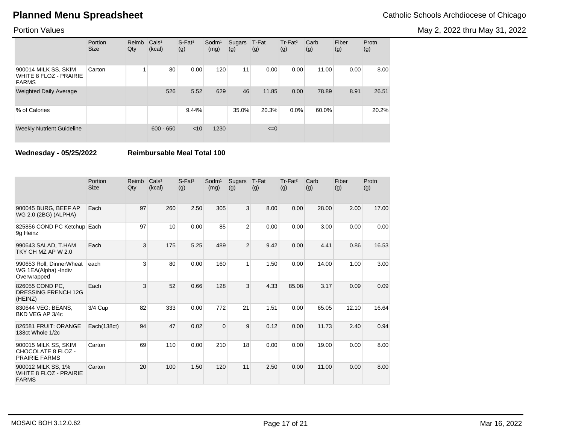May 2, 2022 thru May 31, 2022

### Portion Values

|                                                                       | Portion<br><b>Size</b> | Reimb<br>Qty | Cals <sup>1</sup><br>(kcal) | $S$ -Fat <sup>1</sup><br>(g) | $S$ odm $1$<br>(mg) | Sugars<br>(g) | T-Fat<br>(g) | Tr-Fat <sup>2</sup><br>(g) | Carb<br>(g) | Fiber<br>(g) | Protn<br>(g) |
|-----------------------------------------------------------------------|------------------------|--------------|-----------------------------|------------------------------|---------------------|---------------|--------------|----------------------------|-------------|--------------|--------------|
| 900014 MILK SS, SKIM<br><b>WHITE 8 FLOZ - PRAIRIE</b><br><b>FARMS</b> | Carton                 |              | 80                          | 0.00                         | 120                 | 11            | 0.00         | 0.00                       | 11.00       | 0.00         | 8.00         |
| <b>Weighted Daily Average</b>                                         |                        |              | 526                         | 5.52                         | 629                 | 46            | 11.85        | 0.00                       | 78.89       | 8.91         | 26.51        |
| % of Calories                                                         |                        |              |                             | 9.44%                        |                     | 35.0%         | 20.3%        | $0.0\%$                    | 60.0%       |              | 20.2%        |
| <b>Weekly Nutrient Guideline</b>                                      |                        |              | $600 - 650$                 | < 10                         | 1230                |               | $\leq=0$     |                            |             |              |              |

**Wednesday - 05/25/2022 Reimbursable Meal Total 100**

|                                                                     | Portion<br><b>Size</b> | Reimb<br>Qty | Cals <sup>1</sup><br>(kcal) | $S$ -Fat <sup>1</sup><br>(g) | Sodm <sup>1</sup><br>(mg) | Sugars<br>(g)  | T-Fat<br>(g) | Tr-Fat <sup>2</sup><br>(g) | Carb<br>(g) | Fiber<br>(g) | Protn<br>(g) |
|---------------------------------------------------------------------|------------------------|--------------|-----------------------------|------------------------------|---------------------------|----------------|--------------|----------------------------|-------------|--------------|--------------|
| 900045 BURG, BEEF AP<br>WG 2.0 (2BG) (ALPHA)                        | Each                   | 97           | 260                         | 2.50                         | 305                       | 3              | 8.00         | 0.00                       | 28.00       | 2.00         | 17.00        |
| 825856 COND PC Ketchup Each<br>9g Heinz                             |                        | 97           | 10                          | 0.00                         | 85                        | $\overline{2}$ | 0.00         | 0.00                       | 3.00        | 0.00         | 0.00         |
| 990643 SALAD, T.HAM<br>TKY CH MZ AP W 2.0                           | Each                   | 3            | 175                         | 5.25                         | 489                       | $\overline{2}$ | 9.42         | 0.00                       | 4.41        | 0.86         | 16.53        |
| 990653 Roll, DinnerWheat<br>WG 1EA(Alpha) -Indiv<br>Overwrapped     | each                   | 3            | 80                          | 0.00                         | 160                       | $\mathbf{1}$   | 1.50         | 0.00                       | 14.00       | 1.00         | 3.00         |
| 826055 COND PC.<br><b>DRESSING FRENCH 12G</b><br>(HEINZ)            | Each                   | 3            | 52                          | 0.66                         | 128                       | 3              | 4.33         | 85.08                      | 3.17        | 0.09         | 0.09         |
| 830644 VEG: BEANS.<br>BKD VEG AP 3/4c                               | 3/4 Cup                | 82           | 333                         | 0.00                         | 772                       | 21             | 1.51         | 0.00                       | 65.05       | 12.10        | 16.64        |
| 826581 FRUIT: ORANGE<br>138ct Whole 1/2c                            | Each(138ct)            | 94           | 47                          | 0.02                         | $\Omega$                  | 9              | 0.12         | 0.00                       | 11.73       | 2.40         | 0.94         |
| 900015 MILK SS, SKIM<br>CHOCOLATE 8 FLOZ -<br><b>PRAIRIE FARMS</b>  | Carton                 | 69           | 110                         | 0.00                         | 210                       | 18             | 0.00         | 0.00                       | 19.00       | 0.00         | 8.00         |
| 900012 MILK SS, 1%<br><b>WHITE 8 FLOZ - PRAIRIE</b><br><b>FARMS</b> | Carton                 | 20           | 100                         | 1.50                         | 120                       | 11             | 2.50         | 0.00                       | 11.00       | 0.00         | 8.00         |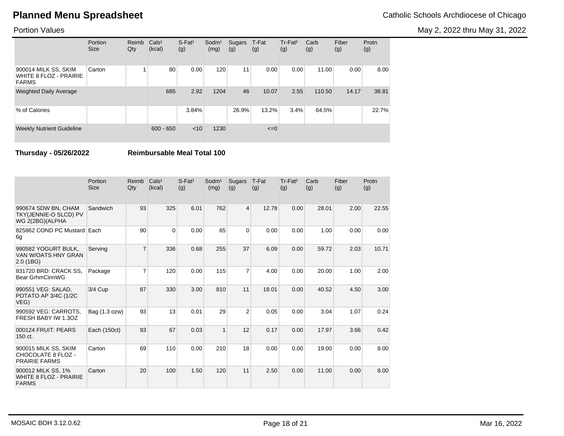May 2, 2022 thru May 31, 2022

### Portion Values

|                                                                       | Portion<br><b>Size</b> | Reimb<br>Qty | Cals <sup>1</sup><br>(kcal) | $S$ -Fat <sup>1</sup><br>(g) | $S$ odm $1$<br>(mg) | Sugars<br>(g) | T-Fat<br>(g) | Tr-Fat <sup>2</sup><br>(g) | Carb<br>(g) | Fiber<br>(g) | Protn<br>(g) |
|-----------------------------------------------------------------------|------------------------|--------------|-----------------------------|------------------------------|---------------------|---------------|--------------|----------------------------|-------------|--------------|--------------|
| 900014 MILK SS, SKIM<br><b>WHITE 8 FLOZ - PRAIRIE</b><br><b>FARMS</b> | Carton                 |              | 80                          | 0.00                         | 120                 | 11            | 0.00         | 0.00                       | 11.00       | 0.00         | 8.00         |
| <b>Weighted Daily Average</b>                                         |                        |              | 685                         | 2.92                         | 1204                | 46            | 10.07        | 2.55                       | 110.50      | 14.17        | 38.81        |
| % of Calories                                                         |                        |              |                             | 3.84%                        |                     | 26.9%         | 13.2%        | 3.4%                       | 64.5%       |              | 22.7%        |
| <b>Weekly Nutrient Guideline</b>                                      |                        |              | $600 - 650$                 | < 10                         | 1230                |               | $\leq=0$     |                            |             |              |              |

**Thursday - 05/26/2022 Reimbursable Meal Total 100**

|                                                                     | Portion<br><b>Size</b> | Reimb<br>Qty   | Cals <sup>1</sup><br>(kcal) | $S$ -Fat <sup>1</sup><br>(g) | $S$ odm $1$<br>(mg) | Sugars<br>(g)  | T-Fat<br>(g) | Tr-Fat <sup>2</sup><br>(g) | Carb<br>(g) | Fiber<br>(g) | Protn<br>(g) |
|---------------------------------------------------------------------|------------------------|----------------|-----------------------------|------------------------------|---------------------|----------------|--------------|----------------------------|-------------|--------------|--------------|
| 990674 SDW BN, CHAM<br>TKY(JENNIE-O SLCD) PV<br>WG 2(2BG)(ALPHA     | Sandwich               | 93             | 325                         | 6.01                         | 762                 | $\overline{4}$ | 12.78        | 0.00                       | 28.01       | 2.00         | 22.55        |
| 825862 COND PC Mustard Each<br>6g                                   |                        | 90             | $\Omega$                    | 0.00                         | 65                  | $\Omega$       | 0.00         | 0.00                       | 1.00        | 0.00         | 0.00         |
| 990582 YOGURT BULK,<br>VAN W/OATS HNY GRAN<br>2.0(1B)               | Serving                | $\overline{7}$ | 336                         | 0.68                         | 255                 | 37             | 6.09         | 0.00                       | 59.72       | 2.03         | 10.71        |
| 831720 BRD: CRACK SS.<br>Bear GrhmCinnWG                            | Package                | $\overline{7}$ | 120                         | 0.00                         | 115                 | $\overline{7}$ | 4.00         | 0.00                       | 20.00       | 1.00         | 2.00         |
| 990551 VEG: SALAD,<br>POTATO AP 3/4C (1/2C<br>VEG)                  | 3/4 Cup                | 87             | 330                         | 3.00                         | 810                 | 11             | 18.01        | 0.00                       | 40.52       | 4.50         | 3.00         |
| 990592 VEG: CARROTS.<br>FRESH BABY IW 1.3OZ                         | Bag (1.3 ozw)          | 93             | 13                          | 0.01                         | 29                  | $\overline{2}$ | 0.05         | 0.00                       | 3.04        | 1.07         | 0.24         |
| 000124 FRUIT: PEARS<br>150 ct.                                      | Each (150ct)           | 93             | 67                          | 0.03                         | $\overline{1}$      | 12             | 0.17         | 0.00                       | 17.97       | 3.66         | 0.42         |
| 900015 MILK SS, SKIM<br>CHOCOLATE 8 FLOZ -<br><b>PRAIRIE FARMS</b>  | Carton                 | 69             | 110                         | 0.00                         | 210                 | 18             | 0.00         | 0.00                       | 19.00       | 0.00         | 8.00         |
| 900012 MILK SS, 1%<br><b>WHITE 8 FLOZ - PRAIRIE</b><br><b>FARMS</b> | Carton                 | 20             | 100                         | 1.50                         | 120                 | 11             | 2.50         | 0.00                       | 11.00       | 0.00         | 8.00         |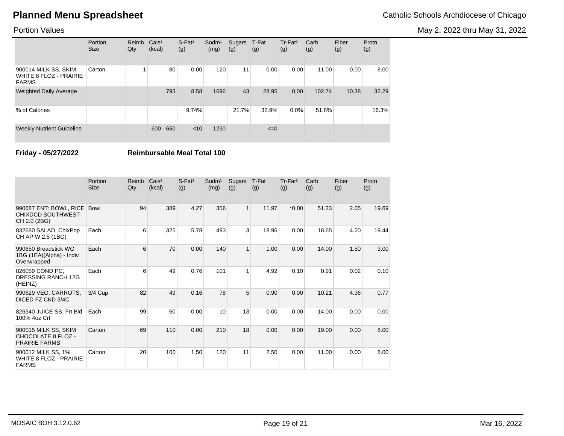May 2, 2022 thru May 31, 2022

### Portion Values

|                                                                       | Portion<br><b>Size</b> | Reimb<br>Qty | Cals <sup>1</sup><br>(kcal) | $S-Fat1$<br>(g) | Sodm <sup>1</sup><br>(mg) | Sugars<br>(g) | T-Fat<br>(g) | Tr-Fat <sup>2</sup><br>(g) | Carb<br>(g) | Fiber<br>(g) | Protn<br>(g) |
|-----------------------------------------------------------------------|------------------------|--------------|-----------------------------|-----------------|---------------------------|---------------|--------------|----------------------------|-------------|--------------|--------------|
| 900014 MILK SS, SKIM<br><b>WHITE 8 FLOZ - PRAIRIE</b><br><b>FARMS</b> | Carton                 |              | 80                          | 0.00            | 120                       | 11            | 0.00         | 0.00                       | 11.00       | 0.00         | 8.00         |
| <b>Weighted Daily Average</b>                                         |                        |              | 793                         | 8.58            | 1696                      | 43            | 28.95        | 0.00                       | 102.74      | 10.38        | 32.29        |
| % of Calories                                                         |                        |              |                             | 9.74%           |                           | 21.7%         | 32.9%        | $0.0\%$                    | 51.8%       |              | 16.3%        |
| <b>Weekly Nutrient Guideline</b>                                      |                        |              | $600 - 650$                 | $<$ 10          | 1230                      |               | $\leq=0$     |                            |             |              |              |

**Friday - 05/27/2022 Reimbursable Meal Total 100**

|                                                                     | Portion<br><b>Size</b> | Reimb<br>Qty | Cals <sup>1</sup><br>(kcal) | $S$ -Fat <sup>1</sup><br>(g) | $S$ odm $1$<br>(mg) | Sugars<br>(g) | T-Fat<br>(g) | Tr-Fat <sup>2</sup><br>(g) | Carb<br>(g) | Fiber<br>(g) | Protn<br>(g) |
|---------------------------------------------------------------------|------------------------|--------------|-----------------------------|------------------------------|---------------------|---------------|--------------|----------------------------|-------------|--------------|--------------|
| 990687 ENT: BOWL, RICE<br><b>CHIXDCD SOUTHWEST</b><br>CH 2.0 (2BG)  | <b>Bowl</b>            | 94           | 389                         | 4.27                         | 356                 | $\mathbf{1}$  | 11.97        | $*0.00$                    | 51.23       | 2.05         | 19.69        |
| 832680 SALAD, ChixPop<br>CH AP W 2.5 (1BG)                          | Each                   | 6            | 325                         | 5.78                         | 493                 | 3             | 18.96        | 0.00                       | 18.65       | 4.20         | 19.44        |
| 990650 Breadstick WG<br>1BG (1EA)(Alpha) - Indiv<br>Overwrapped     | Each                   | 6            | 70                          | 0.00                         | 140                 | $\mathbf{1}$  | 1.00         | 0.00                       | 14.00       | 1.50         | 3.00         |
| 826059 COND PC,<br>DRESSING RANCH 12G<br>(HEINZ)                    | Each                   | 6            | 49                          | 0.76                         | 101                 | $\mathbf{1}$  | 4.92         | 0.10                       | 0.91        | 0.02         | 0.10         |
| 990629 VEG: CARROTS.<br>DICED FZ CKD 3/4C                           | 3/4 Cup                | 82           | 49                          | 0.16                         | 78                  | 5             | 0.90         | 0.00                       | 10.21       | 4.36         | 0.77         |
| 826340 JUICE SS, Frt Bld<br>100% 4oz Crt                            | Each                   | 99           | 60                          | 0.00                         | 10                  | 13            | 0.00         | 0.00                       | 14.00       | 0.00         | 0.00         |
| 900015 MILK SS, SKIM<br>CHOCOLATE 8 FLOZ -<br><b>PRAIRIE FARMS</b>  | Carton                 | 69           | 110                         | 0.00                         | 210                 | 18            | 0.00         | 0.00                       | 19.00       | 0.00         | 8.00         |
| 900012 MILK SS, 1%<br><b>WHITE 8 FLOZ - PRAIRIE</b><br><b>FARMS</b> | Carton                 | 20           | 100                         | 1.50                         | 120                 | 11            | 2.50         | 0.00                       | 11.00       | 0.00         | 8.00         |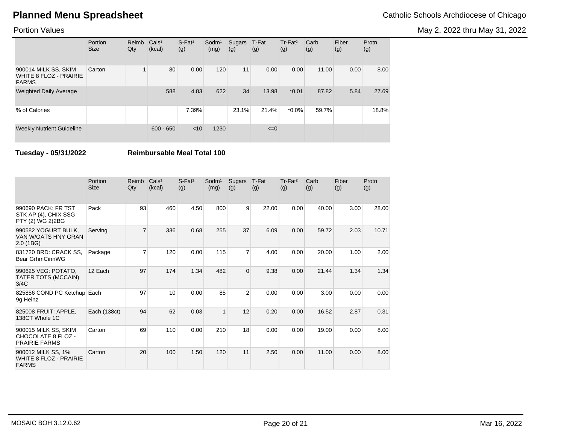May 2, 2022 thru May 31, 2022

### Portion Values

|                                                                       | Portion<br><b>Size</b> | Reimb<br>Qty | Cals <sup>1</sup><br>(kcal) | $S$ -Fat <sup>1</sup><br>(g) | $S$ odm $1$<br>(mg) | Sugars<br>(g) | T-Fat<br>(g) | Tr-Fat <sup>2</sup><br>(g) | Carb<br>(g) | Fiber<br>(g) | Protn<br>(g) |
|-----------------------------------------------------------------------|------------------------|--------------|-----------------------------|------------------------------|---------------------|---------------|--------------|----------------------------|-------------|--------------|--------------|
| 900014 MILK SS, SKIM<br><b>WHITE 8 FLOZ - PRAIRIE</b><br><b>FARMS</b> | Carton                 |              | 80                          | 0.00                         | 120                 | 11            | 0.00         | 0.00                       | 11.00       | 0.00         | 8.00         |
| <b>Weighted Daily Average</b>                                         |                        |              | 588                         | 4.83                         | 622                 | 34            | 13.98        | $*0.01$                    | 87.82       | 5.84         | 27.69        |
| % of Calories                                                         |                        |              |                             | 7.39%                        |                     | 23.1%         | 21.4%        | $*0.0\%$                   | 59.7%       |              | 18.8%        |
| <b>Weekly Nutrient Guideline</b>                                      |                        |              | $600 - 650$                 | < 10                         | 1230                |               | $\leq=0$     |                            |             |              |              |

**Tuesday - 05/31/2022 Reimbursable Meal Total 100**

|                                                                     | Portion<br><b>Size</b> | Reimb<br>Qty   | Cals <sup>1</sup><br>(kcal) | $S$ -Fat <sup>1</sup><br>(g) | Sodm <sup>1</sup><br>(mg) | Sugars<br>(g)  | T-Fat<br>(g) | Tr-Fat <sup>2</sup><br>(g) | Carb<br>(g) | Fiber<br>(g) | Protn<br>(g) |
|---------------------------------------------------------------------|------------------------|----------------|-----------------------------|------------------------------|---------------------------|----------------|--------------|----------------------------|-------------|--------------|--------------|
| 990690 PACK: FR TST<br>STK AP (4), CHIX SSG<br>PTY (2) WG 2(2BG     | Pack                   | 93             | 460                         | 4.50                         | 800                       | 9              | 22.00        | 0.00                       | 40.00       | 3.00         | 28.00        |
| 990582 YOGURT BULK,<br>VAN W/OATS HNY GRAN<br>2.0(1B)               | Serving                | $\overline{7}$ | 336                         | 0.68                         | 255                       | 37             | 6.09         | 0.00                       | 59.72       | 2.03         | 10.71        |
| 831720 BRD: CRACK SS.<br>Bear GrhmCinnWG                            | Package                | 7              | 120                         | 0.00                         | 115                       | $\overline{7}$ | 4.00         | 0.00                       | 20.00       | 1.00         | 2.00         |
| 990625 VEG: POTATO,<br>TATER TOTS (MCCAIN)<br>3/4C                  | 12 Each                | 97             | 174                         | 1.34                         | 482                       | $\mathbf 0$    | 9.38         | 0.00                       | 21.44       | 1.34         | 1.34         |
| 825856 COND PC Ketchup Each<br>9g Heinz                             |                        | 97             | 10                          | 0.00                         | 85                        | 2              | 0.00         | 0.00                       | 3.00        | 0.00         | 0.00         |
| 825008 FRUIT: APPLE,<br>138CT Whole 1C                              | Each (138ct)           | 94             | 62                          | 0.03                         | $\overline{1}$            | 12             | 0.20         | 0.00                       | 16.52       | 2.87         | 0.31         |
| 900015 MILK SS, SKIM<br>CHOCOLATE 8 FLOZ -<br><b>PRAIRIE FARMS</b>  | Carton                 | 69             | 110                         | 0.00                         | 210                       | 18             | 0.00         | 0.00                       | 19.00       | 0.00         | 8.00         |
| 900012 MILK SS, 1%<br><b>WHITE 8 FLOZ - PRAIRIE</b><br><b>FARMS</b> | Carton                 | 20             | 100                         | 1.50                         | 120                       | 11             | 2.50         | 0.00                       | 11.00       | 0.00         | 8.00         |